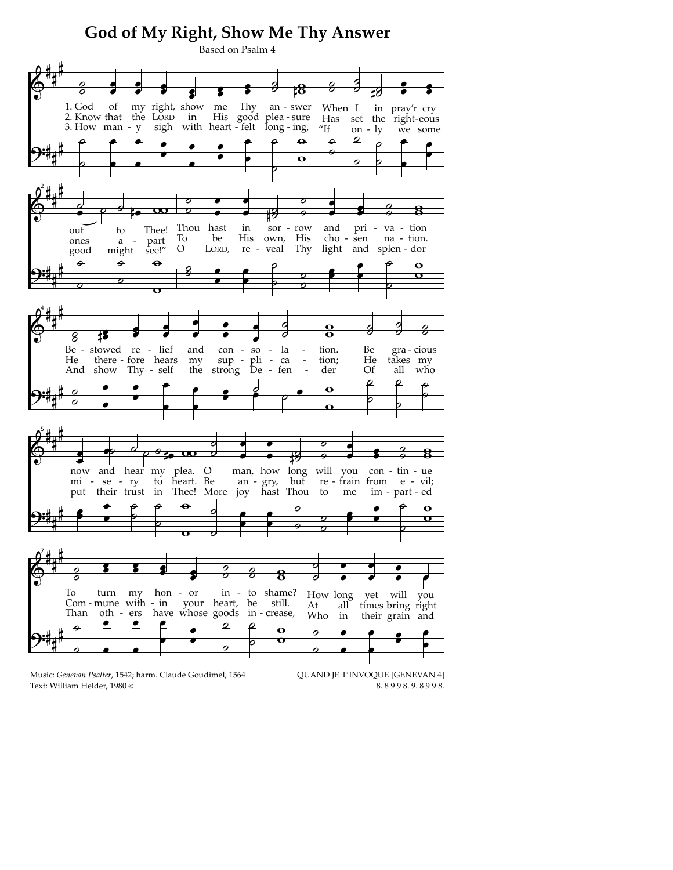## God of My Right, Show Me Thy Answer Based on Psalm 4 1. God of my right, show me Thy an - swer When I in pray'r cry 2. Know that the LORD His good plea-sure  $in$ Has set the right-eous 3. How man -  $y$ sigh with heart - felt long - ing, "If on -  $ly$ we some  $\ddot{\mathbf{e}}$ Thou hast in  $\rm{sor}$  row and pri va - tion to Thee!  $\sim$ out part To be His own, His cho - sen na - tion. ones  $\mathbf{a}$ see!"  $\circ$ LORD, re - veal Thy light and splen-dor might good  $\ddot{\mathbf{e}}$  $\overline{\mathbf{o}}$ ⋥ Be - stowed re - lief and con - $SO$ la tion. Be gra - cious pli - ca<br>De - fen  $\sup$  -He there - fore hears my tion; He takes my And show Thy - self strong De Of the der all who ρ now and hear my plea. O man, how long will con - tin - ue you mi - se - ry  $\overline{a}$ heart. Be an - gry, but re<br>Thee! More joy hast Thou to re - frain from e - vil; put their trust in im - part - ed me To turn my hon - or in - to shame? How long yet will you your heart, be still. Com-mune with  $-$  in At all times bring right Than oth - ers have whose goods in - crease, Who  $\operatorname{in}$ their grain and  $\Omega$ Music: Genevan Psalter, 1542; harm. Claude Goudimel, 1564 QUAND JE T'INVOQUE [GENEVAN 4]

Text: William Helder, 1980 ©

8.8998.9.8998.